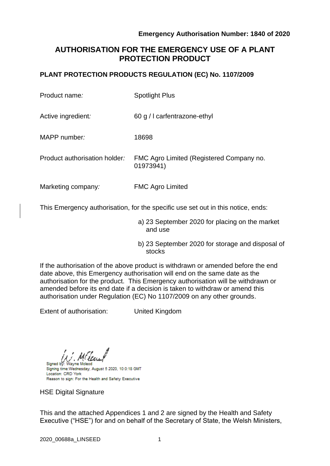# **AUTHORISATION FOR THE EMERGENCY USE OF A PLANT PROTECTION PRODUCT**

## **PLANT PROTECTION PRODUCTS REGULATION (EC) No. 1107/2009**

| Product name:                 | <b>Spotlight Plus</b>                                 |
|-------------------------------|-------------------------------------------------------|
| Active ingredient:            | 60 g / carfentrazone-ethyl                            |
| MAPP number:                  | 18698                                                 |
| Product authorisation holder: | FMC Agro Limited (Registered Company no.<br>01973941) |
| Marketing company:            | <b>FMC Agro Limited</b>                               |

This Emergency authorisation, for the specific use set out in this notice, ends:

- a) 23 September 2020 for placing on the market and use
- b) 23 September 2020 for storage and disposal of stocks

If the authorisation of the above product is withdrawn or amended before the end date above, this Emergency authorisation will end on the same date as the authorisation for the product. This Emergency authorisation will be withdrawn or amended before its end date if a decision is taken to withdraw or amend this authorisation under Regulation (EC) No 1107/2009 on any other grounds.

Extent of authorisation: United Kingdom

Signed by Signing time: Wednesday, August 5 2020, 10:0:18 GMT Location: CRD York Reason to sign: For the Health and Safety Executive

HSE Digital Signature

This and the attached Appendices 1 and 2 are signed by the Health and Safety Executive ("HSE") for and on behalf of the Secretary of State, the Welsh Ministers,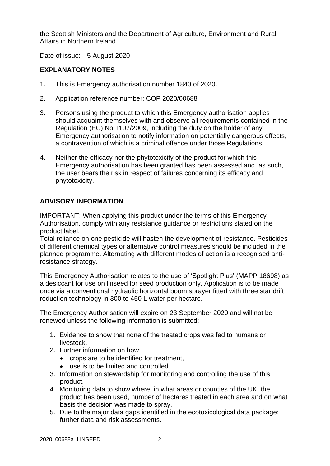the Scottish Ministers and the Department of Agriculture, Environment and Rural Affairs in Northern Ireland.

Date of issue: 5 August 2020

## **EXPLANATORY NOTES**

- 1. This is Emergency authorisation number 1840 of 2020.
- 2. Application reference number: COP 2020/00688
- 3. Persons using the product to which this Emergency authorisation applies should acquaint themselves with and observe all requirements contained in the Regulation (EC) No 1107/2009, including the duty on the holder of any Emergency authorisation to notify information on potentially dangerous effects, a contravention of which is a criminal offence under those Regulations.
- 4. Neither the efficacy nor the phytotoxicity of the product for which this Emergency authorisation has been granted has been assessed and, as such, the user bears the risk in respect of failures concerning its efficacy and phytotoxicity.

## **ADVISORY INFORMATION**

IMPORTANT: When applying this product under the terms of this Emergency Authorisation, comply with any resistance guidance or restrictions stated on the product label.

Total reliance on one pesticide will hasten the development of resistance. Pesticides of different chemical types or alternative control measures should be included in the planned programme. Alternating with different modes of action is a recognised antiresistance strategy.

This Emergency Authorisation relates to the use of 'Spotlight Plus' (MAPP 18698) as a desiccant for use on linseed for seed production only. Application is to be made once via a conventional hydraulic horizontal boom sprayer fitted with three star drift reduction technology in 300 to 450 L water per hectare.

The Emergency Authorisation will expire on 23 September 2020 and will not be renewed unless the following information is submitted:

- 1. Evidence to show that none of the treated crops was fed to humans or livestock.
- 2. Further information on how:
	- crops are to be identified for treatment,
	- use is to be limited and controlled.
- 3. Information on stewardship for monitoring and controlling the use of this product.
- 4. Monitoring data to show where, in what areas or counties of the UK, the product has been used, number of hectares treated in each area and on what basis the decision was made to spray.
- 5. Due to the major data gaps identified in the ecotoxicological data package: further data and risk assessments.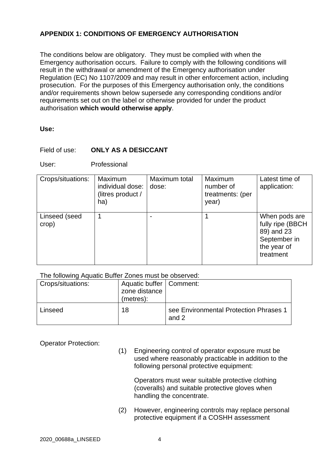# **APPENDIX 1: CONDITIONS OF EMERGENCY AUTHORISATION**

The conditions below are obligatory. They must be complied with when the Emergency authorisation occurs. Failure to comply with the following conditions will result in the withdrawal or amendment of the Emergency authorisation under Regulation (EC) No 1107/2009 and may result in other enforcement action, including prosecution. For the purposes of this Emergency authorisation only, the conditions and/or requirements shown below supersede any corresponding conditions and/or requirements set out on the label or otherwise provided for under the product authorisation **which would otherwise apply**.

#### **Use:**

#### Field of use: **ONLY AS A DESICCANT**

User: Professional

| Crops/situations:      | Maximum<br>individual dose:<br>(litres product /<br>ha) | Maximum total<br>dose: | Maximum<br>number of<br>treatments: (per<br>year) | Latest time of<br>application:                                                              |
|------------------------|---------------------------------------------------------|------------------------|---------------------------------------------------|---------------------------------------------------------------------------------------------|
| Linseed (seed<br>crop) | 1                                                       |                        |                                                   | When pods are<br>fully ripe (BBCH<br>89) and 23<br>September in<br>the year of<br>treatment |

#### The following Aquatic Buffer Zones must be observed:

| <b>Crops/situations:</b> | Aquatic buffer   Comment:<br>zone distance<br>(metres): |                                                 |
|--------------------------|---------------------------------------------------------|-------------------------------------------------|
| Linseed                  | 18                                                      | see Environmental Protection Phrases 1<br>and 2 |

Operator Protection:

(1) Engineering control of operator exposure must be used where reasonably practicable in addition to the following personal protective equipment:

Operators must wear suitable protective clothing (coveralls) and suitable protective gloves when handling the concentrate.

(2) However, engineering controls may replace personal protective equipment if a COSHH assessment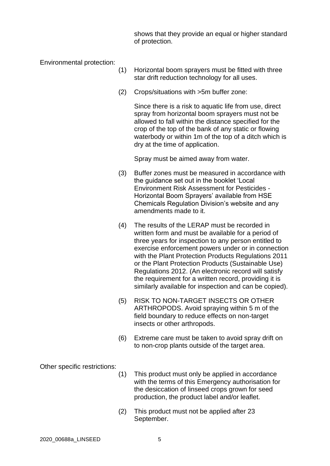shows that they provide an equal or higher standard of protection.

Environmental protection:

- (1) Horizontal boom sprayers must be fitted with three star drift reduction technology for all uses.
- (2) Crops/situations with >5m buffer zone:

Since there is a risk to aquatic life from use, direct spray from horizontal boom sprayers must not be allowed to fall within the distance specified for the crop of the top of the bank of any static or flowing waterbody or within 1m of the top of a ditch which is dry at the time of application.

Spray must be aimed away from water.

- (3) Buffer zones must be measured in accordance with the guidance set out in the booklet 'Local Environment Risk Assessment for Pesticides - Horizontal Boom Sprayers' available from HSE Chemicals Regulation Division's website and any amendments made to it.
- (4) The results of the LERAP must be recorded in written form and must be available for a period of three years for inspection to any person entitled to exercise enforcement powers under or in connection with the Plant Protection Products Regulations 2011 or the Plant Protection Products (Sustainable Use) Regulations 2012. (An electronic record will satisfy the requirement for a written record, providing it is similarly available for inspection and can be copied).
- (5) RISK TO NON-TARGET INSECTS OR OTHER ARTHROPODS. Avoid spraying within 5 m of the field boundary to reduce effects on non-target insects or other arthropods.
- (6) Extreme care must be taken to avoid spray drift on to non-crop plants outside of the target area.

Other specific restrictions:

- (1) This product must only be applied in accordance with the terms of this Emergency authorisation for the desiccation of linseed crops grown for seed production, the product label and/or leaflet.
- (2) This product must not be applied after 23 September.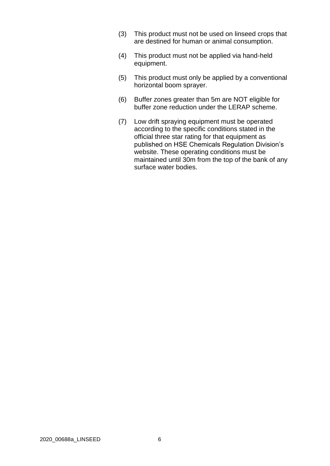- (3) This product must not be used on linseed crops that are destined for human or animal consumption.
- (4) This product must not be applied via hand-held equipment.
- (5) This product must only be applied by a conventional horizontal boom sprayer.
- (6) Buffer zones greater than 5m are NOT eligible for buffer zone reduction under the LERAP scheme.
- (7) Low drift spraying equipment must be operated according to the specific conditions stated in the official three star rating for that equipment as published on HSE Chemicals Regulation Division's website. These operating conditions must be maintained until 30m from the top of the bank of any surface water bodies.